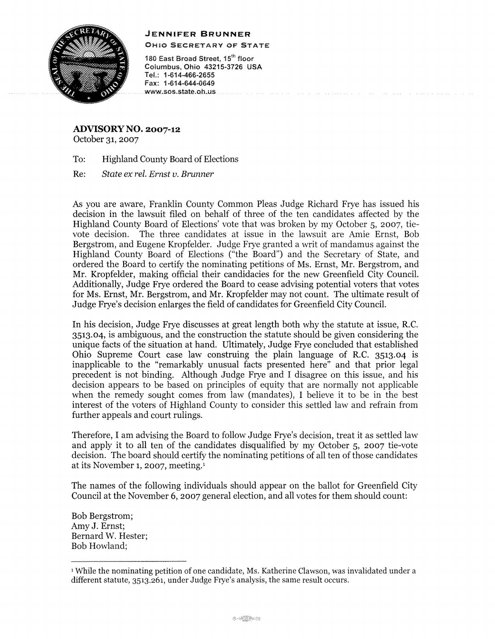## **JENNIFER BRUNNER**



OHIO SECRETARY OF STATE

180 East Broad Street, 15<sup>th</sup> floor Columbus, Ohio 43215-3726 USA Tel.: 1-614-466-2655 Fax: 1-614-644-0649 www.sos.state.oh.us.

**ADVISORY NO. 2007-12**  October 31, 2007

To: Highland County Board of Elections

Re: *State ex rel. Ernst v. Brunner* 

*AB* you are aware, Franklin County Common Pleas Judge Richard Frye has issued his decision in the lawsuit filed on behalf of three of the ten candidates affected by the Highland County Board of Elections' vote that was broken by my October 5, 2007, tievote decision. The three candidates at issue in the lawsuit are Amie Ernst, Bob Bergstrom, and Eugene Kropfelder. Judge Frye granted a writ of mandamus against the Highland County Board of Elections ("the Board") and the Secretary of State, and ordered the Board to certify the nominating petitions of Ms. Ernst, Mr. Bergstrom, and Mr. Kropfelder, making official their candidacies for the new Greenfield City Council. Additionally, Judge Frye ordered the Board to cease advising potential voters that votes for Ms. Ernst, Mr. Bergstrom, and Mr. Kropfelder may not count. The ultimate result of Judge Frye's decision enlarges the field of candidates for Greenfield City Council.

In his decision, Judge Frye discusses at great length both why the statute at issue, R.C. 3513.04, is ambiguous, and the construction the statute should be given considering the unique facts of the situation at hand. Ultimately, Judge Frye concluded that established Ohio Supreme Court case law construing the plain language of R.C. 3513.04 is inapplicable to the "remarkably unusual facts presented here" and that prior legal precedent is not binding. Although Judge Frye and I disagree on this issue, and his decision appears to be based on principles of equity that are normally not applicable when the remedy sought comes from law (mandates), I believe it to be in the best interest of the voters of Highland County to consider this settled law and refrain from further appeals and court rulings.

Therefore, I am advising the Board to follow Judge Frye's decision, treat it as settled law and apply it to all ten of the candidates disqualified by my October 5, 2007 tie-vote decision. The board should certify the nominating petitions of all ten of those candidates at its November 1, 2007, meeting.1

The names of the following individuals should appear on the ballot for Greenfield City Council at the November 6, 2007 general election, and all votes for them should count:

Bob Bergstrom; Amy J. Ernst; Bernard W. Hester; Bob Howland;

<sup>1</sup> While the nominating petition of one candidate, Ms. Katherine Clawson, was invalidated under a different statute, 3513.261, under Judge Frye's analysis, the same result occurs.